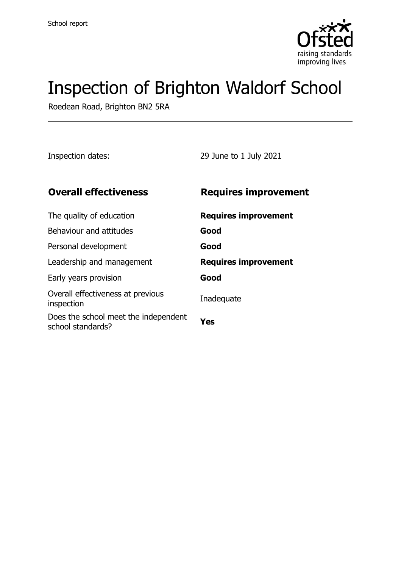

# Inspection of Brighton Waldorf School

Roedean Road, Brighton BN2 5RA

Inspection dates: 29 June to 1 July 2021

| <b>Requires improvement</b> |
|-----------------------------|
| <b>Requires improvement</b> |
| Good                        |
| Good                        |
| <b>Requires improvement</b> |
| Good                        |
| Inadequate                  |
| Yes                         |
|                             |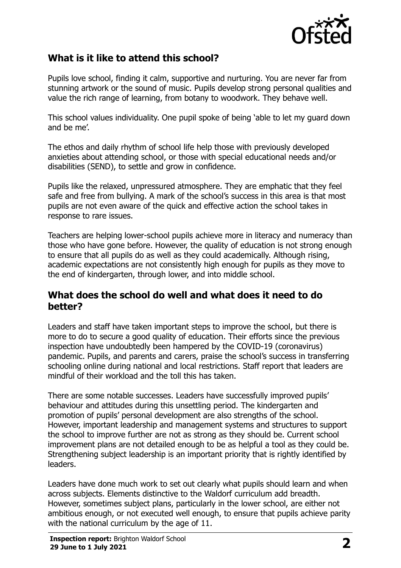

# **What is it like to attend this school?**

Pupils love school, finding it calm, supportive and nurturing. You are never far from stunning artwork or the sound of music. Pupils develop strong personal qualities and value the rich range of learning, from botany to woodwork. They behave well.

This school values individuality. One pupil spoke of being 'able to let my guard down and be me'.

The ethos and daily rhythm of school life help those with previously developed anxieties about attending school, or those with special educational needs and/or disabilities (SEND), to settle and grow in confidence.

Pupils like the relaxed, unpressured atmosphere. They are emphatic that they feel safe and free from bullying. A mark of the school's success in this area is that most pupils are not even aware of the quick and effective action the school takes in response to rare issues.

Teachers are helping lower-school pupils achieve more in literacy and numeracy than those who have gone before. However, the quality of education is not strong enough to ensure that all pupils do as well as they could academically. Although rising, academic expectations are not consistently high enough for pupils as they move to the end of kindergarten, through lower, and into middle school.

### **What does the school do well and what does it need to do better?**

Leaders and staff have taken important steps to improve the school, but there is more to do to secure a good quality of education. Their efforts since the previous inspection have undoubtedly been hampered by the COVID-19 (coronavirus) pandemic. Pupils, and parents and carers, praise the school's success in transferring schooling online during national and local restrictions. Staff report that leaders are mindful of their workload and the toll this has taken.

There are some notable successes. Leaders have successfully improved pupils' behaviour and attitudes during this unsettling period. The kindergarten and promotion of pupils' personal development are also strengths of the school. However, important leadership and management systems and structures to support the school to improve further are not as strong as they should be. Current school improvement plans are not detailed enough to be as helpful a tool as they could be. Strengthening subject leadership is an important priority that is rightly identified by leaders.

Leaders have done much work to set out clearly what pupils should learn and when across subjects. Elements distinctive to the Waldorf curriculum add breadth. However, sometimes subject plans, particularly in the lower school, are either not ambitious enough, or not executed well enough, to ensure that pupils achieve parity with the national curriculum by the age of 11.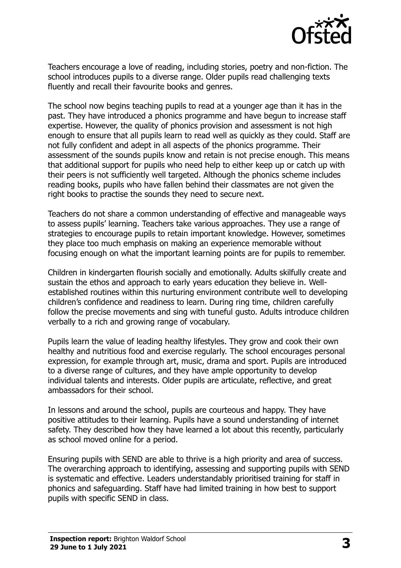

Teachers encourage a love of reading, including stories, poetry and non-fiction. The school introduces pupils to a diverse range. Older pupils read challenging texts fluently and recall their favourite books and genres.

The school now begins teaching pupils to read at a younger age than it has in the past. They have introduced a phonics programme and have begun to increase staff expertise. However, the quality of phonics provision and assessment is not high enough to ensure that all pupils learn to read well as quickly as they could. Staff are not fully confident and adept in all aspects of the phonics programme. Their assessment of the sounds pupils know and retain is not precise enough. This means that additional support for pupils who need help to either keep up or catch up with their peers is not sufficiently well targeted. Although the phonics scheme includes reading books, pupils who have fallen behind their classmates are not given the right books to practise the sounds they need to secure next.

Teachers do not share a common understanding of effective and manageable ways to assess pupils' learning. Teachers take various approaches. They use a range of strategies to encourage pupils to retain important knowledge. However, sometimes they place too much emphasis on making an experience memorable without focusing enough on what the important learning points are for pupils to remember.

Children in kindergarten flourish socially and emotionally. Adults skilfully create and sustain the ethos and approach to early years education they believe in. Wellestablished routines within this nurturing environment contribute well to developing children's confidence and readiness to learn. During ring time, children carefully follow the precise movements and sing with tuneful gusto. Adults introduce children verbally to a rich and growing range of vocabulary.

Pupils learn the value of leading healthy lifestyles. They grow and cook their own healthy and nutritious food and exercise regularly. The school encourages personal expression, for example through art, music, drama and sport. Pupils are introduced to a diverse range of cultures, and they have ample opportunity to develop individual talents and interests. Older pupils are articulate, reflective, and great ambassadors for their school.

In lessons and around the school, pupils are courteous and happy. They have positive attitudes to their learning. Pupils have a sound understanding of internet safety. They described how they have learned a lot about this recently, particularly as school moved online for a period.

Ensuring pupils with SEND are able to thrive is a high priority and area of success. The overarching approach to identifying, assessing and supporting pupils with SEND is systematic and effective. Leaders understandably prioritised training for staff in phonics and safeguarding. Staff have had limited training in how best to support pupils with specific SEND in class.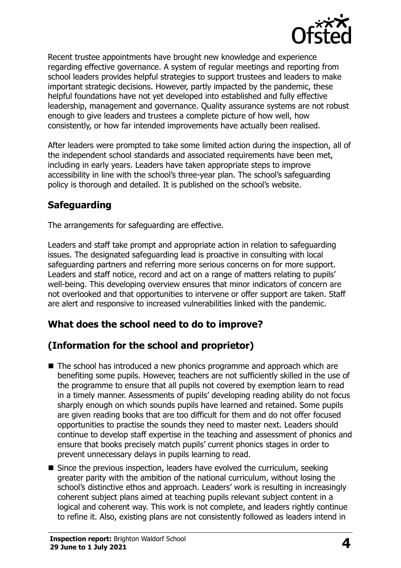

Recent trustee appointments have brought new knowledge and experience regarding effective governance. A system of regular meetings and reporting from school leaders provides helpful strategies to support trustees and leaders to make important strategic decisions. However, partly impacted by the pandemic, these helpful foundations have not yet developed into established and fully effective leadership, management and governance. Quality assurance systems are not robust enough to give leaders and trustees a complete picture of how well, how consistently, or how far intended improvements have actually been realised.

After leaders were prompted to take some limited action during the inspection, all of the independent school standards and associated requirements have been met, including in early years. Leaders have taken appropriate steps to improve accessibility in line with the school's three-year plan. The school's safeguarding policy is thorough and detailed. It is published on the school's website.

# **Safeguarding**

The arrangements for safeguarding are effective.

Leaders and staff take prompt and appropriate action in relation to safeguarding issues. The designated safeguarding lead is proactive in consulting with local safeguarding partners and referring more serious concerns on for more support. Leaders and staff notice, record and act on a range of matters relating to pupils' well-being. This developing overview ensures that minor indicators of concern are not overlooked and that opportunities to intervene or offer support are taken. Staff are alert and responsive to increased vulnerabilities linked with the pandemic.

# **What does the school need to do to improve?**

# **(Information for the school and proprietor)**

- The school has introduced a new phonics programme and approach which are benefiting some pupils. However, teachers are not sufficiently skilled in the use of the programme to ensure that all pupils not covered by exemption learn to read in a timely manner. Assessments of pupils' developing reading ability do not focus sharply enough on which sounds pupils have learned and retained. Some pupils are given reading books that are too difficult for them and do not offer focused opportunities to practise the sounds they need to master next. Leaders should continue to develop staff expertise in the teaching and assessment of phonics and ensure that books precisely match pupils' current phonics stages in order to prevent unnecessary delays in pupils learning to read.
- Since the previous inspection, leaders have evolved the curriculum, seeking greater parity with the ambition of the national curriculum, without losing the school's distinctive ethos and approach. Leaders' work is resulting in increasingly coherent subject plans aimed at teaching pupils relevant subject content in a logical and coherent way. This work is not complete, and leaders rightly continue to refine it. Also, existing plans are not consistently followed as leaders intend in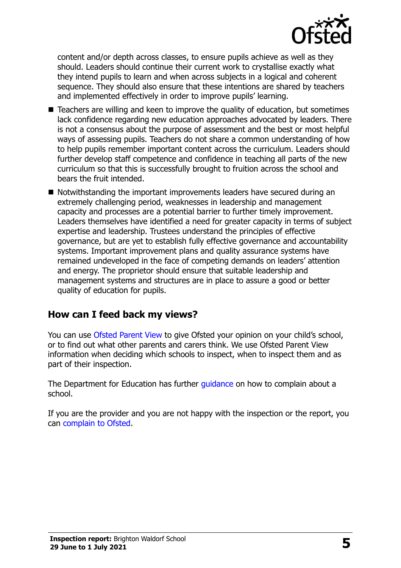

content and/or depth across classes, to ensure pupils achieve as well as they should. Leaders should continue their current work to crystallise exactly what they intend pupils to learn and when across subjects in a logical and coherent sequence. They should also ensure that these intentions are shared by teachers and implemented effectively in order to improve pupils' learning.

- Teachers are willing and keen to improve the quality of education, but sometimes lack confidence regarding new education approaches advocated by leaders. There is not a consensus about the purpose of assessment and the best or most helpful ways of assessing pupils. Teachers do not share a common understanding of how to help pupils remember important content across the curriculum. Leaders should further develop staff competence and confidence in teaching all parts of the new curriculum so that this is successfully brought to fruition across the school and bears the fruit intended.
- Notwithstanding the important improvements leaders have secured during an extremely challenging period, weaknesses in leadership and management capacity and processes are a potential barrier to further timely improvement. Leaders themselves have identified a need for greater capacity in terms of subject expertise and leadership. Trustees understand the principles of effective governance, but are yet to establish fully effective governance and accountability systems. Important improvement plans and quality assurance systems have remained undeveloped in the face of competing demands on leaders' attention and energy. The proprietor should ensure that suitable leadership and management systems and structures are in place to assure a good or better quality of education for pupils.

### **How can I feed back my views?**

You can use [Ofsted Parent View](http://parentview.ofsted.gov.uk/) to give Ofsted your opinion on your child's school, or to find out what other parents and carers think. We use Ofsted Parent View information when deciding which schools to inspect, when to inspect them and as part of their inspection.

The Department for Education has further quidance on how to complain about a school.

If you are the provider and you are not happy with the inspection or the report, you can [complain to Ofsted.](http://www.gov.uk/complain-ofsted-report)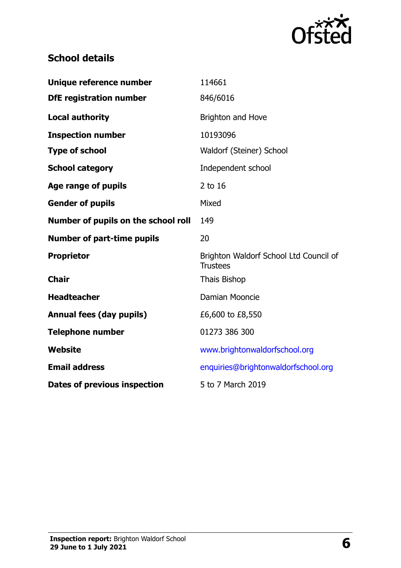

# **School details**

| Unique reference number             | 114661                                                    |
|-------------------------------------|-----------------------------------------------------------|
| <b>DfE registration number</b>      | 846/6016                                                  |
| <b>Local authority</b>              | Brighton and Hove                                         |
| <b>Inspection number</b>            | 10193096                                                  |
| <b>Type of school</b>               | Waldorf (Steiner) School                                  |
| <b>School category</b>              | Independent school                                        |
| Age range of pupils                 | 2 to 16                                                   |
| <b>Gender of pupils</b>             | Mixed                                                     |
| Number of pupils on the school roll | 149                                                       |
| <b>Number of part-time pupils</b>   | 20                                                        |
| <b>Proprietor</b>                   | Brighton Waldorf School Ltd Council of<br><b>Trustees</b> |
| <b>Chair</b>                        | Thais Bishop                                              |
| <b>Headteacher</b>                  | Damian Mooncie                                            |
| <b>Annual fees (day pupils)</b>     | £6,600 to £8,550                                          |
| <b>Telephone number</b>             | 01273 386 300                                             |
| <b>Website</b>                      | www.brightonwaldorfschool.org                             |
| <b>Email address</b>                | enquiries@brightonwaldorfschool.org                       |
| <b>Dates of previous inspection</b> | 5 to 7 March 2019                                         |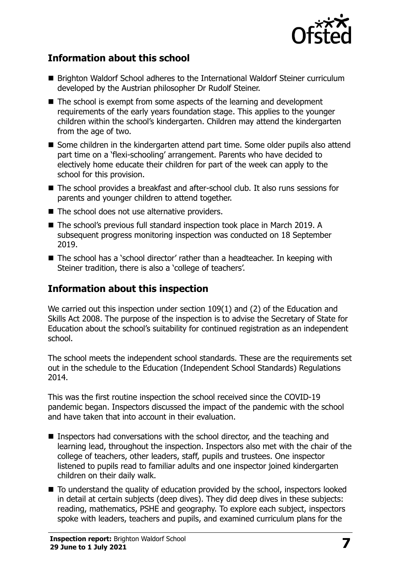

# **Information about this school**

- Brighton Waldorf School adheres to the International Waldorf Steiner curriculum developed by the Austrian philosopher Dr Rudolf Steiner.
- The school is exempt from some aspects of the learning and development requirements of the early years foundation stage. This applies to the younger children within the school's kindergarten. Children may attend the kindergarten from the age of two.
- Some children in the kindergarten attend part time. Some older pupils also attend part time on a 'flexi-schooling' arrangement. Parents who have decided to electively home educate their children for part of the week can apply to the school for this provision.
- The school provides a breakfast and after-school club. It also runs sessions for parents and younger children to attend together.
- The school does not use alternative providers.
- The school's previous full standard inspection took place in March 2019. A subsequent progress monitoring inspection was conducted on 18 September 2019.
- The school has a 'school director' rather than a headteacher. In keeping with Steiner tradition, there is also a 'college of teachers'.

# **Information about this inspection**

We carried out this inspection under section 109(1) and (2) of the Education and Skills Act 2008. The purpose of the inspection is to advise the Secretary of State for Education about the school's suitability for continued registration as an independent school.

The school meets the independent school standards. These are the requirements set out in the schedule to the Education (Independent School Standards) Regulations 2014.

This was the first routine inspection the school received since the COVID-19 pandemic began. Inspectors discussed the impact of the pandemic with the school and have taken that into account in their evaluation.

- Inspectors had conversations with the school director, and the teaching and learning lead, throughout the inspection. Inspectors also met with the chair of the college of teachers, other leaders, staff, pupils and trustees. One inspector listened to pupils read to familiar adults and one inspector joined kindergarten children on their daily walk.
- To understand the quality of education provided by the school, inspectors looked in detail at certain subjects (deep dives). They did deep dives in these subjects: reading, mathematics, PSHE and geography. To explore each subject, inspectors spoke with leaders, teachers and pupils, and examined curriculum plans for the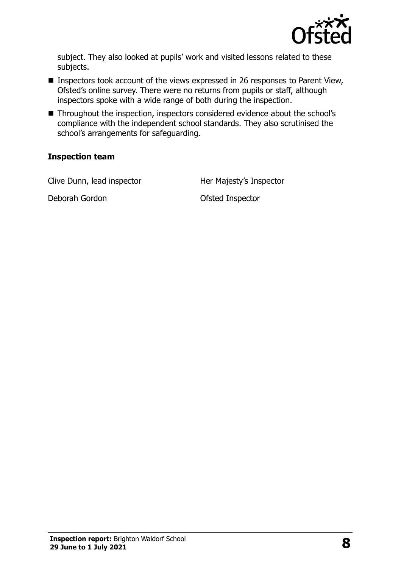

subject. They also looked at pupils' work and visited lessons related to these subjects.

- Inspectors took account of the views expressed in 26 responses to Parent View, Ofsted's online survey. There were no returns from pupils or staff, although inspectors spoke with a wide range of both during the inspection.
- Throughout the inspection, inspectors considered evidence about the school's compliance with the independent school standards. They also scrutinised the school's arrangements for safeguarding.

#### **Inspection team**

Clive Dunn, lead inspector Her Majesty's Inspector

Deborah Gordon **Deborah Gordon** Ofsted Inspector